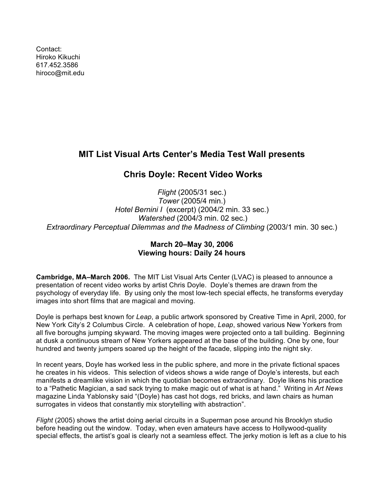Contact: Hiroko Kikuchi [617.452.3586](tel:6174523586) [hiroco@mit.edu](mailto:hiroco@mit.edu)

## **MIT List Visual Arts Center's Media Test Wall presents**

## **Chris Doyle: Recent Video Works**

*Flight* (2005/31 sec.) *Tower* (2005/4 min.) *Hotel Bernini I* (excerpt) (2004/2 min. 33 sec.) *Watershed* (2004/3 min. 02 sec.) *Extraordinary Perceptual Dilemmas and the Madness of Climbing* (2003/1 min. 30 sec.)

## **March 20–May 30, 2006 Viewing hours: Daily 24 hours**

**Cambridge, MA–March 2006.** The MIT List Visual Arts Center (LVAC) is pleased to announce a presentation of recent video works by artist Chris Doyle. Doyle's themes are drawn from the psychology of everyday life. By using only the most low-tech special effects, he transforms everyday images into short films that are magical and moving.

Doyle is perhaps best known for *Leap*, a public artwork sponsored by Creative Time in April, 2000, for New York City's 2 Columbus Circle. A celebration of hope, *Leap*, showed various New Yorkers from all five boroughs jumping skyward. The moving images were projected onto a tall building. Beginning at dusk a continuous stream of New Yorkers appeared at the base of the building. One by one, four hundred and twenty jumpers soared up the height of the facade, slipping into the night sky.

In recent years, Doyle has worked less in the public sphere, and more in the private fictional spaces he creates in his videos. This selection of videos shows a wide range of Doyle's interests, but each manifests a dreamlike vision in which the quotidian becomes extraordinary. Doyle likens his practice to a "Pathetic Magician, a sad sack trying to make magic out of what is at hand." Writing in *Art News* magazine Linda Yablonsky said "(Doyle) has cast hot dogs, red bricks, and lawn chairs as human surrogates in videos that constantly mix storytelling with abstraction".

*Flight* (2005) shows the artist doing aerial circuits in a Superman pose around his Brooklyn studio before heading out the window. Today, when even amateurs have access to Hollywood-quality special effects, the artist's goal is clearly not a seamless effect. The jerky motion is left as a clue to his